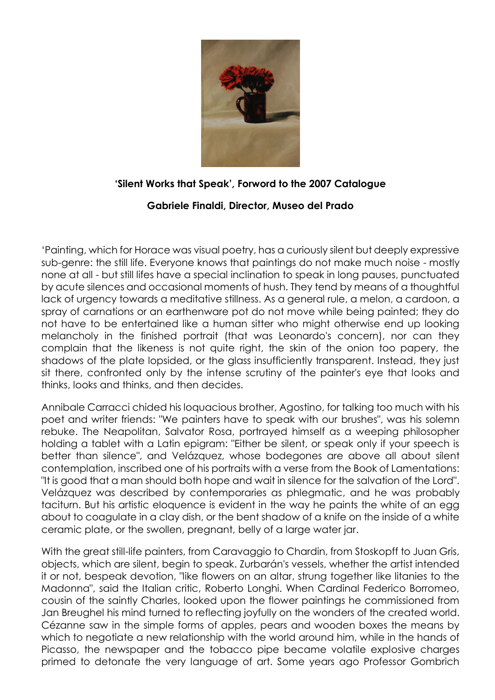

## **'Silent Works that Speak', Forword to the 2007 Catalogue**

## **Gabriele Finaldi, Director, Museo del Prado**

'Painting, which for Horace was visual poetry, has a curiously silent but deeply expressive sub-genre: the still life. Everyone knows that paintings do not make much noise - mostly none at all - but still lifes have a special inclination to speak in long pauses, punctuated by acute silences and occasional moments of hush. They tend by means of a thoughtful lack of urgency towards a meditative stillness. As a general rule, a melon, a cardoon, a spray of carnations or an earthenware pot do not move while being painted; they do not have to be entertained like a human sitter who might otherwise end up looking melancholy in the finished portrait (that was Leonardo's concern), nor can they complain that the likeness is not quite right, the skin of the onion too papery, the shadows of the plate lopsided, or the glass insufficiently transparent. Instead, they just sit there, confronted only by the intense scrutiny of the painter's eye that looks and thinks, looks and thinks, and then decides.

Annibale Carracci chided his loquacious brother, Agostino, for talking too much with his poet and writer friends: "We painters have to speak with our brushes", was his solemn rebuke. The Neapolitan, Salvator Rosa, portrayed himself as a weeping philosopher holding a tablet with a Latin epigram: "Either be silent, or speak only if your speech is better than silence", and Velázquez, whose bodegones are above all about silent contemplation, inscribed one of his portraits with a verse from the Book of Lamentations: "It is good that a man should both hope and wait in silence for the salvation of the Lord". Velázquez was described by contemporaries as phlegmatic, and he was probably taciturn. But his artistic eloquence is evident in the way he paints the white of an egg about to coagulate in a clay dish, or the bent shadow of a knife on the inside of a white ceramic plate, or the swollen, pregnant, belly of a large water jar.

With the great still-life painters, from Caravaggio to Chardin, from Stoskopff to Juan Gris, objects, which are silent, begin to speak. Zurbarán's vessels, whether the artist intended it or not, bespeak devotion, "like flowers on an altar, strung together like litanies to the Madonna", said the Italian critic, Roberto Longhi. When Cardinal Federico Borromeo, cousin of the saintly Charles, looked upon the flower paintings he commissioned from Jan Breughel his mind turned to reflecting joyfully on the wonders of the created world. Cézanne saw in the simple forms of apples, pears and wooden boxes the means by which to negotiate a new relationship with the world around him, while in the hands of Picasso, the newspaper and the tobacco pipe became volatile explosive charges primed to detonate the very language of art. Some years ago Professor Gombrich